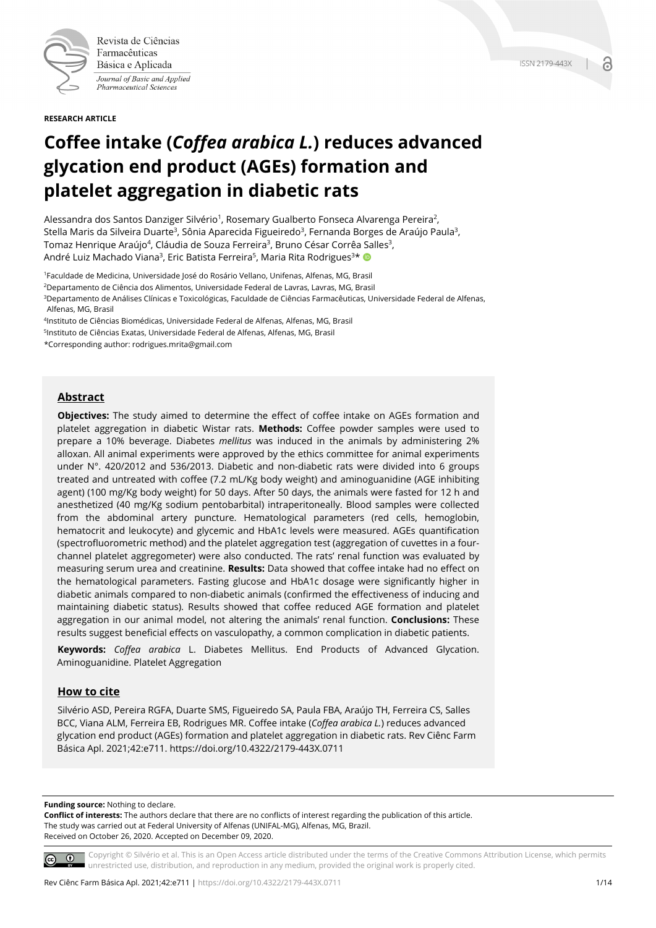

Revista de Ciências Farmacêuticas Básica e Aplicada Journal of Basic and Applied Pharmaceutical Sciences

**RESEARCH ARTICLE**

# **Coffee intake (***Coffea arabica L.***) reduces advanced glycation end product (AGEs) formation and platelet aggregation in diabetic rats**

Alessandra dos Santos Danziger Silvério<sup>1</sup>, Rosemary Gualberto Fonseca Alvarenga Pereira<sup>2</sup>, Stella Maris da Silveira Duarte<sup>3</sup>, Sônia Aparecida Figueiredo<sup>3</sup>, Fernanda Borges de Araújo Paula<sup>3</sup>, Tomaz Henrique Araújo<sup>4</sup>, Cláudia de Souza Ferreira<sup>3</sup>, Bruno César Corrêa Salles<sup>3</sup>, André Luiz Machado Viana<sup>3</sup>, Eric Batista Ferreira<sup>5</sup>, Maria Rita Rodrigues<sup>3\*</sup>

1Faculdade de Medicina, Universidade José do Rosário Vellano, Unifenas, Alfenas, MG, Brasil

2Departamento de Ciência dos Alimentos, Universidade Federal de Lavras, Lavras, MG, Brasil

<sup>3</sup>Departamento de Análises Clínicas e Toxicológicas, Faculdade de Ciências Farmacêuticas, Universidade Federal de Alfenas, Alfenas, MG, Brasil

4Instituto de Ciências Biomédicas, Universidade Federal de Alfenas, Alfenas, MG, Brasil

5Instituto de Ciências Exatas, Universidade Federal de Alfenas, Alfenas, MG, Brasil

\*Corresponding author: rodrigues.mrita@gmail.com

## **Abstract**

**Objectives:** The study aimed to determine the effect of coffee intake on AGEs formation and platelet aggregation in diabetic Wistar rats. **Methods:** Coffee powder samples were used to prepare a 10% beverage. Diabetes *mellitus* was induced in the animals by administering 2% alloxan. All animal experiments were approved by the ethics committee for animal experiments under N°. 420/2012 and 536/2013. Diabetic and non-diabetic rats were divided into 6 groups treated and untreated with coffee (7.2 mL/Kg body weight) and aminoguanidine (AGE inhibiting agent) (100 mg/Kg body weight) for 50 days. After 50 days, the animals were fasted for 12 h and anesthetized (40 mg/Kg sodium pentobarbital) intraperitoneally. Blood samples were collected from the abdominal artery puncture. Hematological parameters (red cells, hemoglobin, hematocrit and leukocyte) and glycemic and HbA1c levels were measured. AGEs quantification (spectrofluorometric method) and the platelet aggregation test (aggregation of cuvettes in a fourchannel platelet aggregometer) were also conducted. The rats' renal function was evaluated by measuring serum urea and creatinine. **Results:** Data showed that coffee intake had no effect on the hematological parameters. Fasting glucose and HbA1c dosage were significantly higher in diabetic animals compared to non-diabetic animals (confirmed the effectiveness of inducing and maintaining diabetic status). Results showed that coffee reduced AGE formation and platelet aggregation in our animal model, not altering the animals' renal function. **Conclusions:** These results suggest beneficial effects on vasculopathy, a common complication in diabetic patients.

**Keywords:** *Coffea arabica* L. Diabetes Mellitus. End Products of Advanced Glycation. Aminoguanidine. Platelet Aggregation

#### **How to cite**

Silvério ASD, Pereira RGFA, Duarte SMS, Figueiredo SA, Paula FBA, Araújo TH, Ferreira CS, Salles BCC, Viana ALM, Ferreira EB, Rodrigues MR. Coffee intake (*Coffea arabica L.*) reduces advanced glycation end product (AGEs) formation and platelet aggregation in diabetic rats. Rev Ciênc Farm Básica Apl. 2021;42:e711. https://doi.org/10.4322/2179-443X.0711

**Funding source:** Nothing to declare.

**Conflict of interests:** The authors declare that there are no conflicts of interest regarding the publication of this article. The study was carried out at Federal University of Alfenas (UNIFAL-MG), Alfenas, MG, Brazil. Received on October 26, 2020. Accepted on December 09, 2020.

Copyright © Silvério et al. This is an Open Access article distributed under the terms of the Creative Commons Attribution License, which permits  $\circ$   $\circ$ unrestricted use, distribution, and reproduction in any medium, provided the original work is properly cited.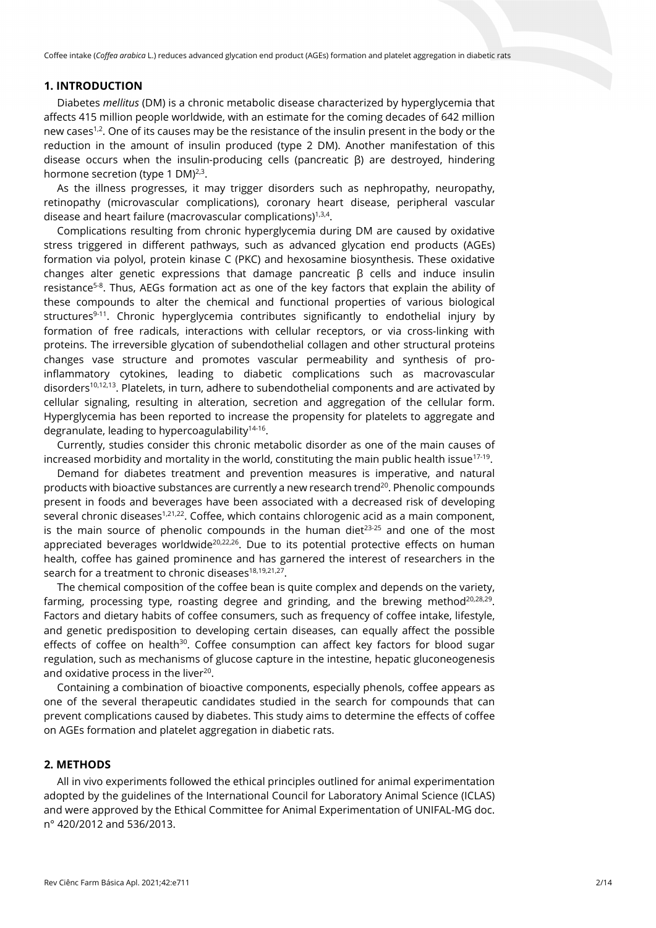# **1. INTRODUCTION**

Diabetes *mellitus* (DM) is a chronic metabolic disease characterized by hyperglycemia that affects 415 million people worldwide, with an estimate for the coming decades of 642 million new cases<sup>1,2</sup>. One of its causes may be the resistance of the insulin present in the body or the reduction in the amount of insulin produced (type 2 DM). Another manifestation of this disease occurs when the insulin-producing cells (pancreatic β) are destroyed, hindering hormone secretion (type 1 DM) $^{2,3}$ .

As the illness progresses, it may trigger disorders such as nephropathy, neuropathy, retinopathy (microvascular complications), coronary heart disease, peripheral vascular disease and heart failure (macrovascular complications) $1,3,4$ .

Complications resulting from chronic hyperglycemia during DM are caused by oxidative stress triggered in different pathways, such as advanced glycation end products (AGEs) formation via polyol, protein kinase C (PKC) and hexosamine biosynthesis. These oxidative changes alter genetic expressions that damage pancreatic β cells and induce insulin resistance5-8. Thus, AEGs formation act as one of the key factors that explain the ability of these compounds to alter the chemical and functional properties of various biological structures<sup>9-11</sup>. Chronic hyperglycemia contributes significantly to endothelial injury by formation of free radicals, interactions with cellular receptors, or via cross-linking with proteins. The irreversible glycation of subendothelial collagen and other structural proteins changes vase structure and promotes vascular permeability and synthesis of proinflammatory cytokines, leading to diabetic complications such as macrovascular disorders<sup>10,12,13</sup>. Platelets, in turn, adhere to subendothelial components and are activated by cellular signaling, resulting in alteration, secretion and aggregation of the cellular form. Hyperglycemia has been reported to increase the propensity for platelets to aggregate and degranulate, leading to hypercoagulability $14-16$ .

Currently, studies consider this chronic metabolic disorder as one of the main causes of increased morbidity and mortality in the world, constituting the main public health issue<sup>17-19</sup>.

Demand for diabetes treatment and prevention measures is imperative, and natural products with bioactive substances are currently a new research trend<sup>20</sup>. Phenolic compounds present in foods and beverages have been associated with a decreased risk of developing several chronic diseases<sup>1,21,22</sup>. Coffee, which contains chlorogenic acid as a main component, is the main source of phenolic compounds in the human diet $23-25$  and one of the most appreciated beverages worldwide $20,22,26$ . Due to its potential protective effects on human health, coffee has gained prominence and has garnered the interest of researchers in the search for a treatment to chronic diseases $18,19,21,27$ .

The chemical composition of the coffee bean is quite complex and depends on the variety, farming, processing type, roasting degree and grinding, and the brewing method<sup>20,28,29</sup>. Factors and dietary habits of coffee consumers, such as frequency of coffee intake, lifestyle, and genetic predisposition to developing certain diseases, can equally affect the possible effects of coffee on health<sup>30</sup>. Coffee consumption can affect key factors for blood sugar regulation, such as mechanisms of glucose capture in the intestine, hepatic gluconeogenesis and oxidative process in the liver<sup>20</sup>.

Containing a combination of bioactive components, especially phenols, coffee appears as one of the several therapeutic candidates studied in the search for compounds that can prevent complications caused by diabetes. This study aims to determine the effects of coffee on AGEs formation and platelet aggregation in diabetic rats.

# **2. METHODS**

All in vivo experiments followed the ethical principles outlined for animal experimentation adopted by the guidelines of the International Council for Laboratory Animal Science (ICLAS) and were approved by the Ethical Committee for Animal Experimentation of UNIFAL-MG doc. n° 420/2012 and 536/2013.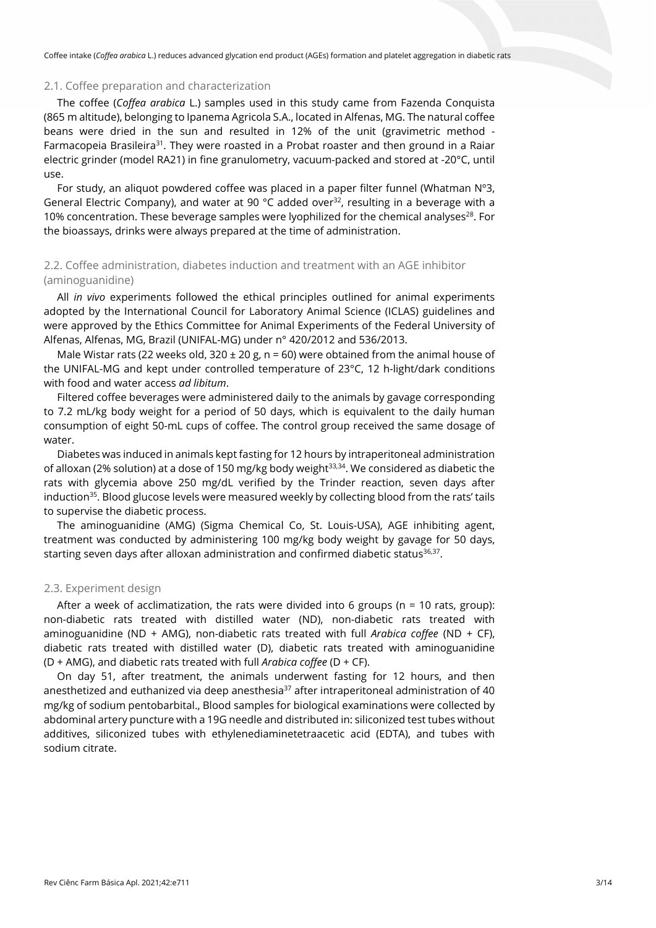## 2.1. Coffee preparation and characterization

The coffee (*Coffea arabica* L.) samples used in this study came from Fazenda Conquista (865 m altitude), belonging to Ipanema Agricola S.A., located in Alfenas, MG. The natural coffee beans were dried in the sun and resulted in 12% of the unit (gravimetric method - Farmacopeia Brasileira<sup>31</sup>. They were roasted in a Probat roaster and then ground in a Raiar electric grinder (model RA21) in fine granulometry, vacuum-packed and stored at -20°C, until use.

For study, an aliquot powdered coffee was placed in a paper filter funnel (Whatman  $N^{\circ}3$ , General Electric Company), and water at 90  $^{\circ}$ C added over<sup>32</sup>, resulting in a beverage with a 10% concentration. These beverage samples were lyophilized for the chemical analyses<sup>28</sup>. For the bioassays, drinks were always prepared at the time of administration.

# 2.2. Coffee administration, diabetes induction and treatment with an AGE inhibitor (aminoguanidine)

All *in vivo* experiments followed the ethical principles outlined for animal experiments adopted by the International Council for Laboratory Animal Science (ICLAS) guidelines and were approved by the Ethics Committee for Animal Experiments of the Federal University of Alfenas, Alfenas, MG, Brazil (UNIFAL-MG) under n° 420/2012 and 536/2013.

Male Wistar rats (22 weeks old, 320  $\pm$  20 g, n = 60) were obtained from the animal house of the UNIFAL-MG and kept under controlled temperature of 23°C, 12 h-light/dark conditions with food and water access *ad libitum*.

Filtered coffee beverages were administered daily to the animals by gavage corresponding to 7.2 mL/kg body weight for a period of 50 days, which is equivalent to the daily human consumption of eight 50-mL cups of coffee. The control group received the same dosage of water.

Diabetes was induced in animals kept fasting for 12 hours by intraperitoneal administration of alloxan (2% solution) at a dose of 150 mg/kg body weight<sup>33,34</sup>. We considered as diabetic the rats with glycemia above 250 mg/dL verified by the Trinder reaction, seven days after induction $35$ . Blood glucose levels were measured weekly by collecting blood from the rats' tails to supervise the diabetic process.

The aminoguanidine (AMG) (Sigma Chemical Co, St. Louis-USA), AGE inhibiting agent, treatment was conducted by administering 100 mg/kg body weight by gavage for 50 days, starting seven days after alloxan administration and confirmed diabetic status $36,37$ .

# 2.3. Experiment design

After a week of acclimatization, the rats were divided into 6 groups ( $n = 10$  rats, group): non-diabetic rats treated with distilled water (ND), non-diabetic rats treated with aminoguanidine (ND + AMG), non-diabetic rats treated with full *Arabica coffee* (ND + CF), diabetic rats treated with distilled water (D), diabetic rats treated with aminoguanidine (D + AMG), and diabetic rats treated with full *Arabica coffee* (D + CF).

On day 51, after treatment, the animals underwent fasting for 12 hours, and then anesthetized and euthanized via deep anesthesia<sup>37</sup> after intraperitoneal administration of 40 mg/kg of sodium pentobarbital., Blood samples for biological examinations were collected by abdominal artery puncture with a 19G needle and distributed in: siliconized test tubes without additives, siliconized tubes with ethylenediaminetetraacetic acid (EDTA), and tubes with sodium citrate.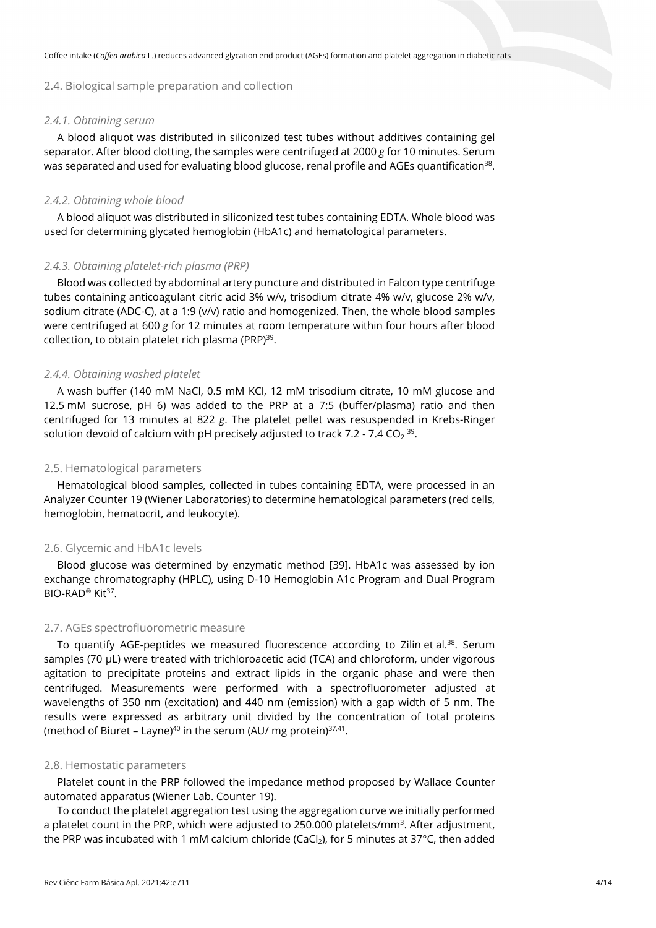# 2.4. Biological sample preparation and collection

#### *2.4.1. Obtaining serum*

A blood aliquot was distributed in siliconized test tubes without additives containing gel separator. After blood clotting, the samples were centrifuged at 2000 *g* for 10 minutes. Serum was separated and used for evaluating blood glucose, renal profile and AGEs quantification<sup>38</sup>.

# *2.4.2. Obtaining whole blood*

A blood aliquot was distributed in siliconized test tubes containing EDTA. Whole blood was used for determining glycated hemoglobin (HbA1c) and hematological parameters.

# *2.4.3. Obtaining platelet-rich plasma (PRP)*

Blood was collected by abdominal artery puncture and distributed in Falcon type centrifuge tubes containing anticoagulant citric acid 3% w/v, trisodium citrate 4% w/v, glucose 2% w/v, sodium citrate (ADC-C), at a 1:9 (v/v) ratio and homogenized. Then, the whole blood samples were centrifuged at 600 *g* for 12 minutes at room temperature within four hours after blood collection, to obtain platelet rich plasma (PRP)<sup>39</sup>.

#### *2.4.4. Obtaining washed platelet*

A wash buffer (140 mM NaCl, 0.5 mM KCl, 12 mM trisodium citrate, 10 mM glucose and 12.5 mM sucrose, pH 6) was added to the PRP at a 7:5 (buffer/plasma) ratio and then centrifuged for 13 minutes at 822 *g*. The platelet pellet was resuspended in Krebs-Ringer solution devoid of calcium with pH precisely adjusted to track 7.2 - 7.4 CO<sub>2</sub><sup>39</sup>.

#### 2.5. Hematological parameters

Hematological blood samples, collected in tubes containing EDTA, were processed in an Analyzer Counter 19 (Wiener Laboratories) to determine hematological parameters (red cells, hemoglobin, hematocrit, and leukocyte).

#### 2.6. Glycemic and HbA1c levels

Blood glucose was determined by enzymatic method [39]. HbA1c was assessed by ion exchange chromatography (HPLC), using D-10 Hemoglobin A1c Program and Dual Program BIO-RAD<sup>®</sup> Kit<sup>37</sup>.

#### 2.7. AGEs spectrofluorometric measure

To quantify AGE-peptides we measured fluorescence according to Zilin et al.<sup>38</sup>. Serum samples (70 μL) were treated with trichloroacetic acid (TCA) and chloroform, under vigorous agitation to precipitate proteins and extract lipids in the organic phase and were then centrifuged. Measurements were performed with a spectrofluorometer adjusted at wavelengths of 350 nm (excitation) and 440 nm (emission) with a gap width of 5 nm. The results were expressed as arbitrary unit divided by the concentration of total proteins (method of Biuret – Layne)<sup>40</sup> in the serum (AU/ mg protein) $37,41$ .

#### 2.8. Hemostatic parameters

Platelet count in the PRP followed the impedance method proposed by Wallace Counter automated apparatus (Wiener Lab. Counter 19).

To conduct the platelet aggregation test using the aggregation curve we initially performed a platelet count in the PRP, which were adjusted to 250.000 platelets/mm<sup>3</sup>. After adjustment, the PRP was incubated with 1 mM calcium chloride (CaCl<sub>2</sub>), for 5 minutes at 37°C, then added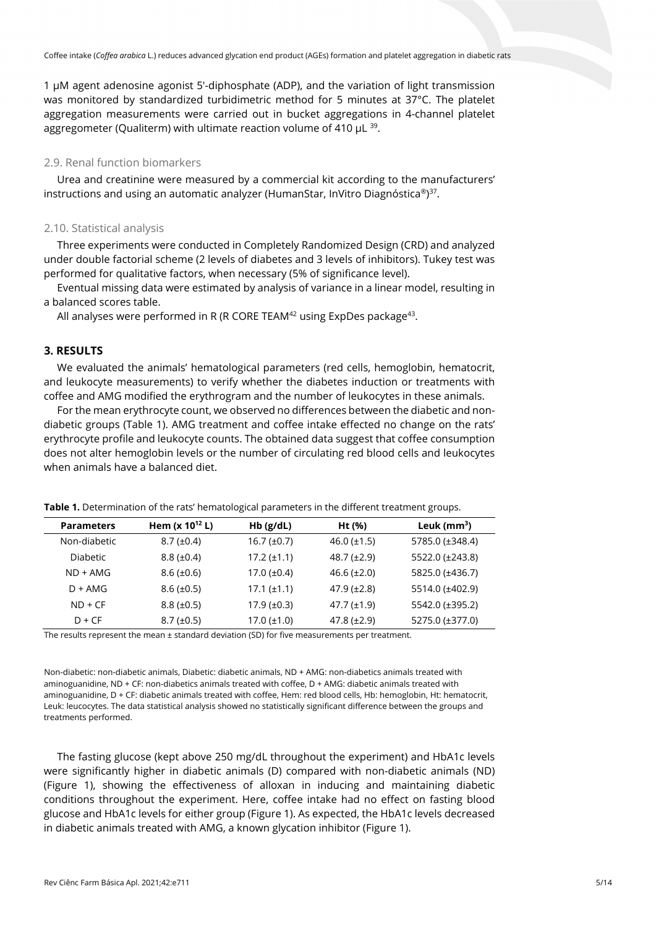1 μM agent adenosine agonist 5'-diphosphate (ADP), and the variation of light transmission was monitored by standardized turbidimetric method for 5 minutes at 37°C. The platelet aggregation measurements were carried out in bucket aggregations in 4-channel platelet aggregometer (Qualiterm) with ultimate reaction volume of 410  $\mu$ L  $^{39}$ .

# 2.9. Renal function biomarkers

Urea and creatinine were measured by a commercial kit according to the manufacturers' instructions and using an automatic analyzer (HumanStar, InVitro Diagnóstica®) 37.

## 2.10. Statistical analysis

Three experiments were conducted in Completely Randomized Design (CRD) and analyzed under double factorial scheme (2 levels of diabetes and 3 levels of inhibitors). Tukey test was performed for qualitative factors, when necessary (5% of significance level).

Eventual missing data were estimated by analysis of variance in a linear model, resulting in a balanced scores table.

All analyses were performed in R (R CORE TEAM $42$  using ExpDes package $43$ .

# **3. RESULTS**

We evaluated the animals' hematological parameters (red cells, hemoglobin, hematocrit, and leukocyte measurements) to verify whether the diabetes induction or treatments with coffee and AMG modified the erythrogram and the number of leukocytes in these animals.

For the mean erythrocyte count, we observed no differences between the diabetic and nondiabetic groups (Table 1). AMG treatment and coffee intake effected no change on the rats' erythrocyte profile and leukocyte counts. The obtained data suggest that coffee consumption does not alter hemoglobin levels or the number of circulating red blood cells and leukocytes when animals have a balanced diet.

| <b>Parameters</b> | Hem $(x 10^{12} L)$ | $Hb$ (g/dL)      | Ht (%)             | Leuk $(mm3)$    |  |
|-------------------|---------------------|------------------|--------------------|-----------------|--|
| Non-diabetic      | $8.7 (\pm 0.4)$     | $16.7 (\pm 0.7)$ | 46.0 $(\pm 1.5)$   | 5785.0 (±348.4) |  |
| <b>Diabetic</b>   | $8.8 (\pm 0.4)$     | $17.2 (\pm 1.1)$ | $48.7 (\pm 2.9)$   | 5522.0 (±243.8) |  |
| $ND + AMG$        | $8.6 (\pm 0.6)$     | $17.0 (\pm 0.4)$ | 46.6 $(\pm 2.0)$   | 5825.0 (±436.7) |  |
| $D + AMG$         | $8.6 (\pm 0.5)$     | $17.1 (\pm 1.1)$ | $47.9 (\pm 2.8)$   | 5514.0 (±402.9) |  |
| $ND + CF$         | $8.8 (\pm 0.5)$     | $17.9 (\pm 0.3)$ | $47.7 (\pm 1.9)$   | 5542.0 (±395.2) |  |
| $D + CF$          | $8.7 \ (\pm 0.5)$   | $17.0 (\pm 1.0)$ | $47.8 \ (\pm 2.9)$ | 5275.0 (±377.0) |  |
|                   |                     |                  |                    |                 |  |

**Table 1.** Determination of the rats' hematological parameters in the different treatment groups.

The results represent the mean ± standard deviation (SD) for five measurements per treatment.

Non-diabetic: non-diabetic animals, Diabetic: diabetic animals, ND + AMG: non-diabetics animals treated with aminoguanidine, ND + CF: non-diabetics animals treated with coffee, D + AMG: diabetic animals treated with aminoguanidine, D + CF: diabetic animals treated with coffee, Hem: red blood cells, Hb: hemoglobin, Ht: hematocrit, Leuk: leucocytes. The data statistical analysis showed no statistically significant difference between the groups and treatments performed.

The fasting glucose (kept above 250 mg/dL throughout the experiment) and HbA1c levels were significantly higher in diabetic animals (D) compared with non-diabetic animals (ND) (Figure 1), showing the effectiveness of alloxan in inducing and maintaining diabetic conditions throughout the experiment. Here, coffee intake had no effect on fasting blood glucose and HbA1c levels for either group (Figure 1). As expected, the HbA1c levels decreased in diabetic animals treated with AMG, a known glycation inhibitor (Figure 1).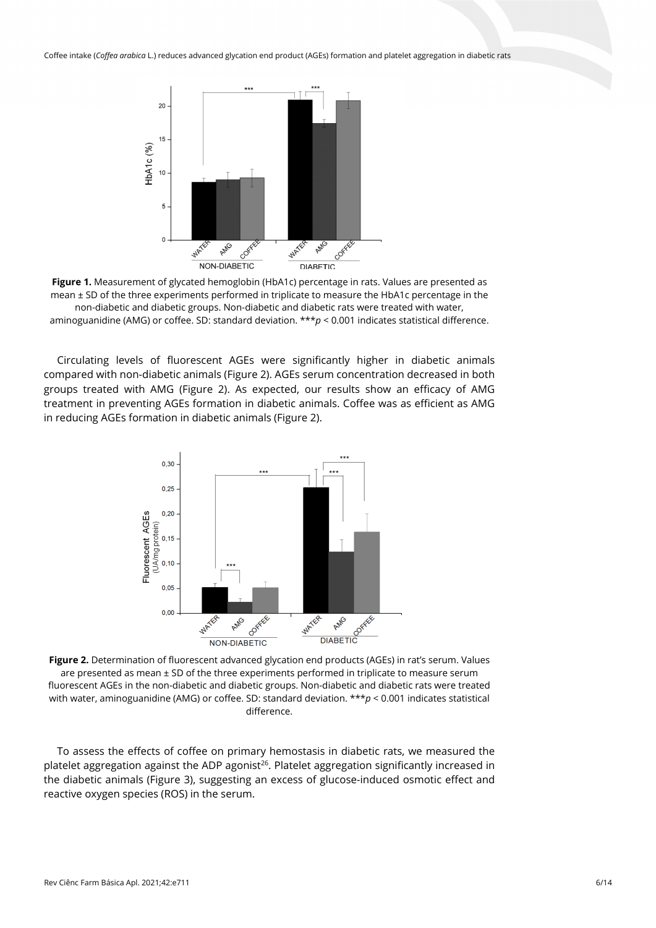



Circulating levels of fluorescent AGEs were significantly higher in diabetic animals compared with non-diabetic animals (Figure 2). AGEs serum concentration decreased in both groups treated with AMG (Figure 2). As expected, our results show an efficacy of AMG treatment in preventing AGEs formation in diabetic animals. Coffee was as efficient as AMG in reducing AGEs formation in diabetic animals (Figure 2).



are presented as mean  $\pm$  SD of the three experiments performed in triplicate to measure serum fluorescent AGEs in the non-diabetic and diabetic groups. Non-diabetic and diabetic rats were treated with water, aminoguanidine (AMG) or coffee. SD: standard deviation. \*\*\**p* < 0.001 indicates statistical difference.

To assess the effects of coffee on primary hemostasis in diabetic rats, we measured the platelet aggregation against the ADP agonist<sup>26</sup>. Platelet aggregation significantly increased in the diabetic animals (Figure 3), suggesting an excess of glucose-induced osmotic effect and reactive oxygen species (ROS) in the serum.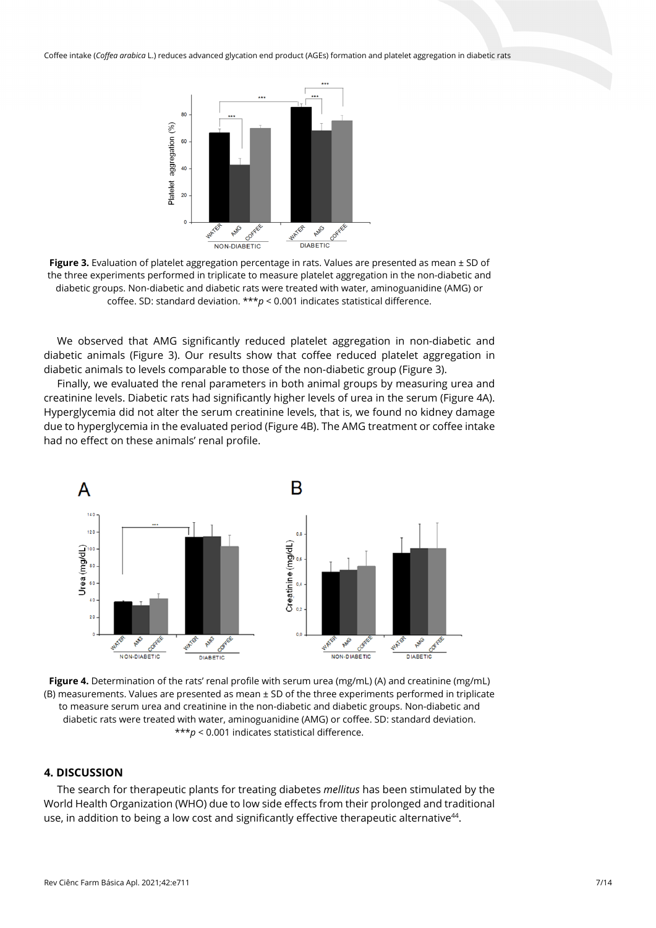

**Figure 3.** Evaluation of platelet aggregation percentage in rats. Values are presented as mean ± SD of the three experiments performed in triplicate to measure platelet aggregation in the non-diabetic and diabetic groups. Non-diabetic and diabetic rats were treated with water, aminoguanidine (AMG) or coffee. SD: standard deviation. \*\*\**p* < 0.001 indicates statistical difference.

We observed that AMG significantly reduced platelet aggregation in non-diabetic and diabetic animals (Figure 3). Our results show that coffee reduced platelet aggregation in diabetic animals to levels comparable to those of the non-diabetic group (Figure 3).

Finally, we evaluated the renal parameters in both animal groups by measuring urea and creatinine levels. Diabetic rats had significantly higher levels of urea in the serum (Figure 4A). Hyperglycemia did not alter the serum creatinine levels, that is, we found no kidney damage due to hyperglycemia in the evaluated period (Figure 4B). The AMG treatment or coffee intake had no effect on these animals' renal profile.



**Figure 4.** Determination of the rats' renal profile with serum urea (mg/mL) (A) and creatinine (mg/mL) (B) measurements. Values are presented as mean ± SD of the three experiments performed in triplicate to measure serum urea and creatinine in the non-diabetic and diabetic groups. Non-diabetic and diabetic rats were treated with water, aminoguanidine (AMG) or coffee. SD: standard deviation. \*\*\**p* < 0.001 indicates statistical difference.

# **4. DISCUSSION**

The search for therapeutic plants for treating diabetes *mellitus* has been stimulated by the World Health Organization (WHO) due to low side effects from their prolonged and traditional use, in addition to being a low cost and significantly effective therapeutic alternative<sup>44</sup>.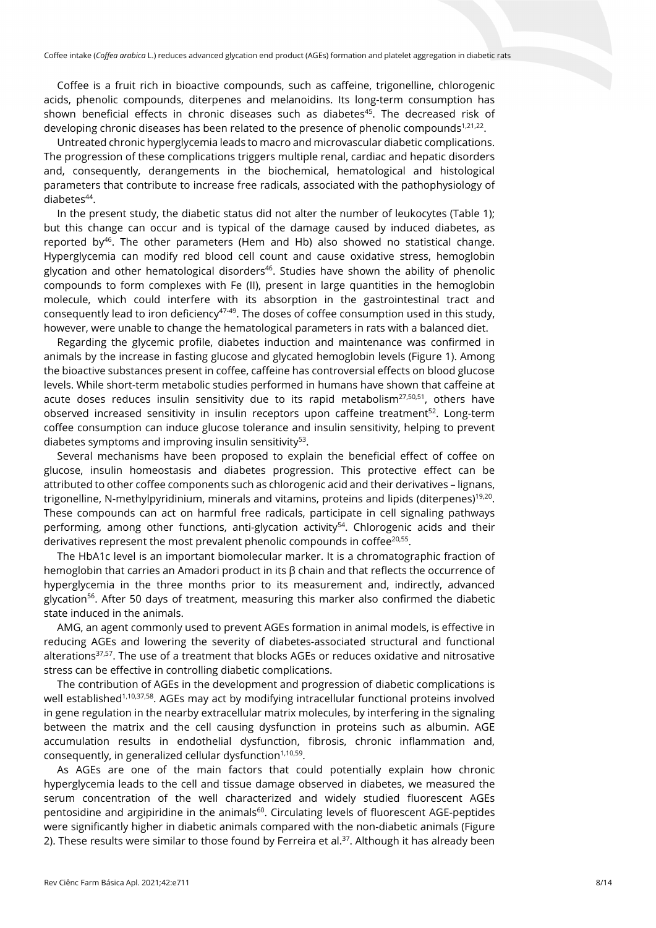Coffee is a fruit rich in bioactive compounds, such as caffeine, trigonelline, chlorogenic acids, phenolic compounds, diterpenes and melanoidins. Its long-term consumption has shown beneficial effects in chronic diseases such as diabetes<sup>45</sup>. The decreased risk of developing chronic diseases has been related to the presence of phenolic compounds<sup>1,21,22</sup>.

Untreated chronic hyperglycemia leads to macro and microvascular diabetic complications. The progression of these complications triggers multiple renal, cardiac and hepatic disorders and, consequently, derangements in the biochemical, hematological and histological parameters that contribute to increase free radicals, associated with the pathophysiology of diabetes<sup>44</sup>.

In the present study, the diabetic status did not alter the number of leukocytes (Table 1); but this change can occur and is typical of the damage caused by induced diabetes, as reported by<sup>46</sup>. The other parameters (Hem and Hb) also showed no statistical change. Hyperglycemia can modify red blood cell count and cause oxidative stress, hemoglobin glycation and other hematological disorders $46$ . Studies have shown the ability of phenolic compounds to form complexes with Fe (II), present in large quantities in the hemoglobin molecule, which could interfere with its absorption in the gastrointestinal tract and consequently lead to iron deficiency $47-49$ . The doses of coffee consumption used in this study, however, were unable to change the hematological parameters in rats with a balanced diet.

Regarding the glycemic profile, diabetes induction and maintenance was confirmed in animals by the increase in fasting glucose and glycated hemoglobin levels (Figure 1). Among the bioactive substances present in coffee, caffeine has controversial effects on blood glucose levels. While short-term metabolic studies performed in humans have shown that caffeine at acute doses reduces insulin sensitivity due to its rapid metabolism $27,50,51$ , others have observed increased sensitivity in insulin receptors upon caffeine treatment<sup>52</sup>. Long-term coffee consumption can induce glucose tolerance and insulin sensitivity, helping to prevent diabetes symptoms and improving insulin sensitivity<sup>53</sup>.

Several mechanisms have been proposed to explain the beneficial effect of coffee on glucose, insulin homeostasis and diabetes progression. This protective effect can be attributed to other coffee components such as chlorogenic acid and their derivatives – lignans, trigonelline, N-methylpyridinium, minerals and vitamins, proteins and lipids (diterpenes)<sup>19,20</sup>. These compounds can act on harmful free radicals, participate in cell signaling pathways performing, among other functions, anti-glycation activity<sup>54</sup>. Chlorogenic acids and their derivatives represent the most prevalent phenolic compounds in coffee $20,55$ .

The HbA1c level is an important biomolecular marker. It is a chromatographic fraction of hemoglobin that carries an Amadori product in its β chain and that reflects the occurrence of hyperglycemia in the three months prior to its measurement and, indirectly, advanced glycation<sup>56</sup>. After 50 days of treatment, measuring this marker also confirmed the diabetic state induced in the animals.

AMG, an agent commonly used to prevent AGEs formation in animal models, is effective in reducing AGEs and lowering the severity of diabetes-associated structural and functional alterations<sup>37,57</sup>. The use of a treatment that blocks AGEs or reduces oxidative and nitrosative stress can be effective in controlling diabetic complications.

The contribution of AGEs in the development and progression of diabetic complications is well established<sup>1,10,37,58</sup>. AGEs may act by modifying intracellular functional proteins involved in gene regulation in the nearby extracellular matrix molecules, by interfering in the signaling between the matrix and the cell causing dysfunction in proteins such as albumin. AGE accumulation results in endothelial dysfunction, fibrosis, chronic inflammation and, consequently, in generalized cellular dysfunction $1,10,59$ .

As AGEs are one of the main factors that could potentially explain how chronic hyperglycemia leads to the cell and tissue damage observed in diabetes, we measured the serum concentration of the well characterized and widely studied fluorescent AGEs pentosidine and argipiridine in the animals<sup>60</sup>. Circulating levels of fluorescent AGE-peptides were significantly higher in diabetic animals compared with the non-diabetic animals (Figure 2). These results were similar to those found by Ferreira et al.<sup>37</sup>. Although it has already been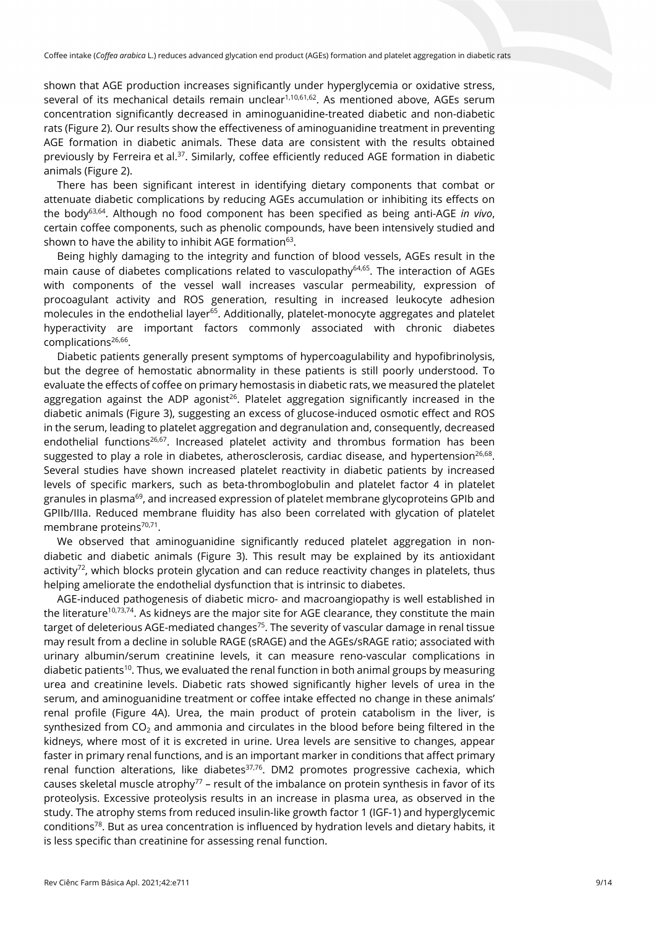shown that AGE production increases significantly under hyperglycemia or oxidative stress, several of its mechanical details remain unclear<sup>1,10,61,62</sup>. As mentioned above, AGEs serum concentration significantly decreased in aminoguanidine-treated diabetic and non-diabetic rats (Figure 2). Our results show the effectiveness of aminoguanidine treatment in preventing AGE formation in diabetic animals. These data are consistent with the results obtained previously by Ferreira et al.37. Similarly, coffee efficiently reduced AGE formation in diabetic animals (Figure 2).

There has been significant interest in identifying dietary components that combat or attenuate diabetic complications by reducing AGEs accumulation or inhibiting its effects on the body63,64. Although no food component has been specified as being anti-AGE *in vivo*, certain coffee components, such as phenolic compounds, have been intensively studied and shown to have the ability to inhibit AGE formation $63$ .

Being highly damaging to the integrity and function of blood vessels, AGEs result in the main cause of diabetes complications related to vasculopathy<sup>64,65</sup>. The interaction of AGEs with components of the vessel wall increases vascular permeability, expression of procoagulant activity and ROS generation, resulting in increased leukocyte adhesion molecules in the endothelial layer<sup>65</sup>. Additionally, platelet-monocyte aggregates and platelet hyperactivity are important factors commonly associated with chronic diabetes complications<sup>26,66</sup>.

Diabetic patients generally present symptoms of hypercoagulability and hypofibrinolysis, but the degree of hemostatic abnormality in these patients is still poorly understood. To evaluate the effects of coffee on primary hemostasis in diabetic rats, we measured the platelet aggregation against the ADP agonist<sup>26</sup>. Platelet aggregation significantly increased in the diabetic animals (Figure 3), suggesting an excess of glucose-induced osmotic effect and ROS in the serum, leading to platelet aggregation and degranulation and, consequently, decreased endothelial functions<sup>26,67</sup>. Increased platelet activity and thrombus formation has been suggested to play a role in diabetes, atherosclerosis, cardiac disease, and hypertension<sup>26,68</sup>. Several studies have shown increased platelet reactivity in diabetic patients by increased levels of specific markers, such as beta-thromboglobulin and platelet factor 4 in platelet granules in plasma<sup>69</sup>, and increased expression of platelet membrane glycoproteins GPIb and GPIIb/IIIa. Reduced membrane fluidity has also been correlated with glycation of platelet membrane proteins<sup>70,71</sup>.

We observed that aminoguanidine significantly reduced platelet aggregation in nondiabetic and diabetic animals (Figure 3). This result may be explained by its antioxidant activity<sup>72</sup>, which blocks protein glycation and can reduce reactivity changes in platelets, thus helping ameliorate the endothelial dysfunction that is intrinsic to diabetes.

AGE-induced pathogenesis of diabetic micro- and macroangiopathy is well established in the literature<sup>10,73,74</sup>. As kidneys are the major site for AGE clearance, they constitute the main target of deleterious AGE-mediated changes<sup>75</sup>. The severity of vascular damage in renal tissue may result from a decline in soluble RAGE (sRAGE) and the AGEs/sRAGE ratio; associated with urinary albumin/serum creatinine levels, it can measure reno-vascular complications in diabetic patients<sup>10</sup>. Thus, we evaluated the renal function in both animal groups by measuring urea and creatinine levels. Diabetic rats showed significantly higher levels of urea in the serum, and aminoguanidine treatment or coffee intake effected no change in these animals' renal profile (Figure 4A). Urea, the main product of protein catabolism in the liver, is synthesized from  $CO<sub>2</sub>$  and ammonia and circulates in the blood before being filtered in the kidneys, where most of it is excreted in urine. Urea levels are sensitive to changes, appear faster in primary renal functions, and is an important marker in conditions that affect primary renal function alterations, like diabetes $37,76$ . DM2 promotes progressive cachexia, which causes skeletal muscle atrophy $77$  – result of the imbalance on protein synthesis in favor of its proteolysis. Excessive proteolysis results in an increase in plasma urea, as observed in the study. The atrophy stems from reduced insulin-like growth factor 1 (IGF-1) and hyperglycemic conditions78. But as urea concentration is influenced by hydration levels and dietary habits, it is less specific than creatinine for assessing renal function.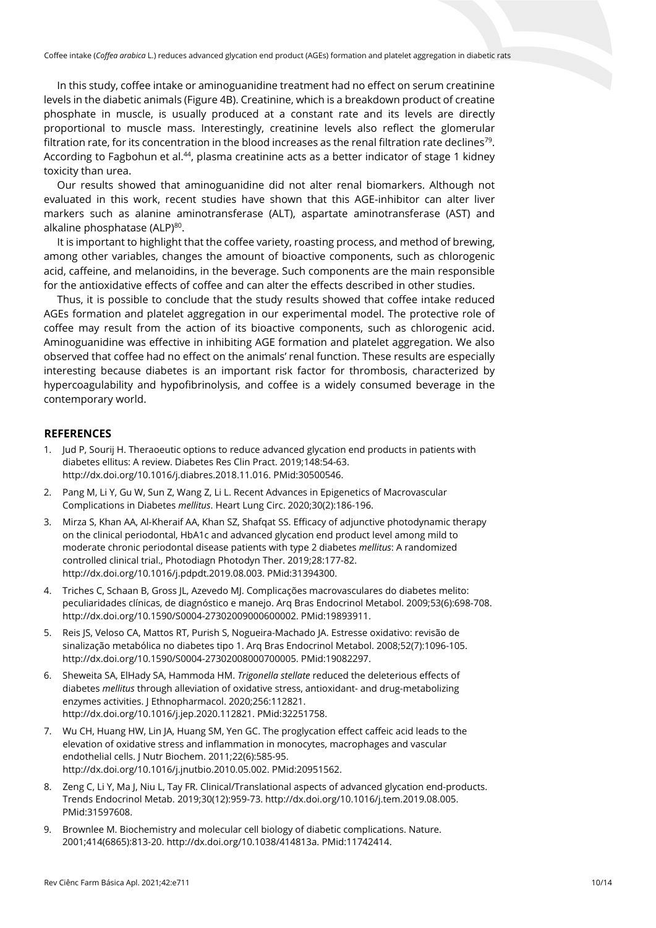In this study, coffee intake or aminoguanidine treatment had no effect on serum creatinine levels in the diabetic animals (Figure 4B). Creatinine, which is a breakdown product of creatine phosphate in muscle, is usually produced at a constant rate and its levels are directly proportional to muscle mass. Interestingly, creatinine levels also reflect the glomerular filtration rate, for its concentration in the blood increases as the renal filtration rate declines<sup>79</sup>. According to Fagbohun et al.<sup>44</sup>, plasma creatinine acts as a better indicator of stage 1 kidney toxicity than urea.

Our results showed that aminoguanidine did not alter renal biomarkers. Although not evaluated in this work, recent studies have shown that this AGE-inhibitor can alter liver markers such as alanine aminotransferase (ALT), aspartate aminotransferase (AST) and alkaline phosphatase (ALP)<sup>80</sup>.

It is important to highlight that the coffee variety, roasting process, and method of brewing, among other variables, changes the amount of bioactive components, such as chlorogenic acid, caffeine, and melanoidins, in the beverage. Such components are the main responsible for the antioxidative effects of coffee and can alter the effects described in other studies.

Thus, it is possible to conclude that the study results showed that coffee intake reduced AGEs formation and platelet aggregation in our experimental model. The protective role of coffee may result from the action of its bioactive components, such as chlorogenic acid. Aminoguanidine was effective in inhibiting AGE formation and platelet aggregation. We also observed that coffee had no effect on the animals' renal function. These results are especially interesting because diabetes is an important risk factor for thrombosis, characterized by hypercoagulability and hypofibrinolysis, and coffee is a widely consumed beverage in the contemporary world.

# **REFERENCES**

- 1. Jud P, Sourij H. Theraoeutic options to reduce advanced glycation end products in patients with diabetes ellitus: A review. Diabetes Res Clin Pract. 2019;148:54-63. [http://dx.doi.org/10.1016/j.diabres.2018.11.016.](https://doi.org/10.1016/j.diabres.2018.11.016) [PMid:30500546.](https://www.ncbi.nlm.nih.gov/entrez/query.fcgi?cmd=Retrieve&db=PubMed&list_uids=30500546&dopt=Abstract)
- 2. Pang M, Li Y, Gu W, Sun Z, Wang Z, Li L. Recent Advances in Epigenetics of Macrovascular Complications in Diabetes *mellitus*. Heart Lung Circ. 2020;30(2):186-196.
- 3. Mirza S, Khan AA, Al-Kheraif AA, Khan SZ, Shafqat SS. Efficacy of adjunctive photodynamic therapy on the clinical periodontal, HbA1c and advanced glycation end product level among mild to moderate chronic periodontal disease patients with type 2 diabetes *mellitus*: A randomized controlled clinical trial., Photodiagn Photodyn Ther. 2019;28:177-82. [http://dx.doi.org/10.1016/j.pdpdt.2019.08.003.](https://doi.org/10.1016/j.pdpdt.2019.08.003) [PMid:31394300.](https://www.ncbi.nlm.nih.gov/entrez/query.fcgi?cmd=Retrieve&db=PubMed&list_uids=31394300&dopt=Abstract)
- 4. Triches C, Schaan B, Gross JL, Azevedo MJ. Complicações macrovasculares do diabetes melito: peculiaridades clínicas, de diagnóstico e manejo. Arq Bras Endocrinol Metabol. 2009;53(6):698-708. [http://dx.doi.org/10.1590/S0004-27302009000600002.](https://doi.org/10.1590/S0004-27302009000600002) [PMid:19893911.](https://www.ncbi.nlm.nih.gov/entrez/query.fcgi?cmd=Retrieve&db=PubMed&list_uids=19893911&dopt=Abstract)
- 5. Reis JS, Veloso CA, Mattos RT, Purish S, Nogueira-Machado JA. Estresse oxidativo: revisão de sinalização metabólica no diabetes tipo 1. Arq Bras Endocrinol Metabol. 2008;52(7):1096-105. [http://dx.doi.org/10.1590/S0004-27302008000700005.](https://doi.org/10.1590/S0004-27302008000700005) [PMid:19082297.](https://www.ncbi.nlm.nih.gov/entrez/query.fcgi?cmd=Retrieve&db=PubMed&list_uids=19082297&dopt=Abstract)
- 6. Sheweita SA, ElHady SA, Hammoda HM. *Trigonella stellate* reduced the deleterious effects of diabetes *mellitus* through alleviation of oxidative stress, antioxidant- and drug-metabolizing enzymes activities. J Ethnopharmacol. 2020;256:112821. [http://dx.doi.org/10.1016/j.jep.2020.112821.](https://doi.org/10.1016/j.jep.2020.112821) [PMid:32251758.](https://www.ncbi.nlm.nih.gov/entrez/query.fcgi?cmd=Retrieve&db=PubMed&list_uids=32251758&dopt=Abstract)
- 7. Wu CH, Huang HW, Lin JA, Huang SM, Yen GC. The proglycation effect caffeic acid leads to the elevation of oxidative stress and inflammation in monocytes, macrophages and vascular endothelial cells. J Nutr Biochem. 2011;22(6):585-95. [http://dx.doi.org/10.1016/j.jnutbio.2010.05.002.](https://doi.org/10.1016/j.jnutbio.2010.05.002) [PMid:20951562.](https://www.ncbi.nlm.nih.gov/entrez/query.fcgi?cmd=Retrieve&db=PubMed&list_uids=20951562&dopt=Abstract)
- 8. Zeng C, Li Y, Ma J, Niu L, Tay FR. Clinical/Translational aspects of advanced glycation end-products. Trends Endocrinol Metab. 2019;30(12):959-73. [http://dx.doi.org/10.1016/j.tem.2019.08.005](https://doi.org/10.1016/j.tem.2019.08.005)[.](https://www.ncbi.nlm.nih.gov/entrez/query.fcgi?cmd=Retrieve&db=PubMed&list_uids=31597608&dopt=Abstract) [PMid:31597608.](https://www.ncbi.nlm.nih.gov/entrez/query.fcgi?cmd=Retrieve&db=PubMed&list_uids=31597608&dopt=Abstract)
- 9. Brownlee M. Biochemistry and molecular cell biology of diabetic complications. Nature. 2001;414(6865):813-20[. http://dx.doi.org/10.1038/414813a.](https://doi.org/10.1038/414813a) [PMid:11742414.](https://www.ncbi.nlm.nih.gov/entrez/query.fcgi?cmd=Retrieve&db=PubMed&list_uids=11742414&dopt=Abstract)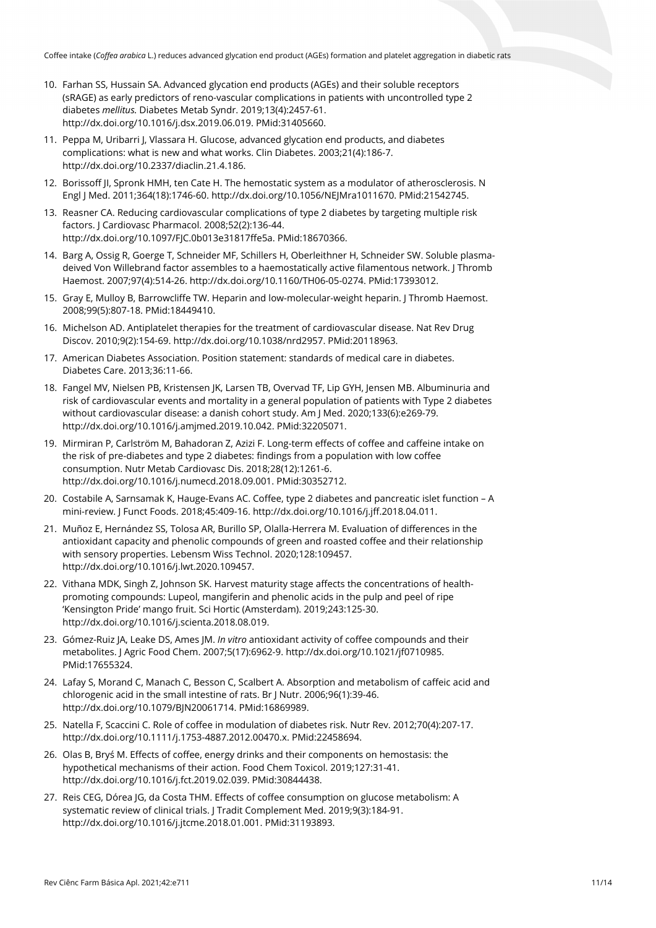- 10. Farhan SS, Hussain SA. Advanced glycation end products (AGEs) and their soluble receptors (sRAGE) as early predictors of reno-vascular complications in patients with uncontrolled type 2 diabetes *mellitus.* Diabetes Metab Syndr. 2019;13(4):2457-61. [http://dx.doi.org/10.1016/j.dsx.2019.06.019.](https://doi.org/10.1016/j.dsx.2019.06.019) [PMid:31405660.](https://www.ncbi.nlm.nih.gov/entrez/query.fcgi?cmd=Retrieve&db=PubMed&list_uids=31405660&dopt=Abstract)
- 11. Peppa M, Uribarri J, Vlassara H. Glucose, advanced glycation end products, and diabetes complications: what is new and what works. Clin Diabetes. 2003;21(4):186-7. [http://dx.doi.org/10.2337/diaclin.21.4.186.](https://doi.org/10.2337/diaclin.21.4.186)
- 12. Borissoff JI, Spronk HMH, ten Cate H. The hemostatic system as a modulator of atherosclerosis. N Engl J Med. 2011;364(18):1746-60. [http://dx.doi.org/10.1056/NEJMra1011670.](https://doi.org/10.1056/NEJMra1011670) [PMid:21542745.](https://www.ncbi.nlm.nih.gov/entrez/query.fcgi?cmd=Retrieve&db=PubMed&list_uids=21542745&dopt=Abstract)
- 13. Reasner CA. Reducing cardiovascular complications of type 2 diabetes by targeting multiple risk factors. J Cardiovasc Pharmacol. 2008;52(2):136-44. [http://dx.doi.org/10.1097/FJC.0b013e31817ffe5a.](https://doi.org/10.1097/FJC.0b013e31817ffe5a) [PMid:18670366.](https://www.ncbi.nlm.nih.gov/entrez/query.fcgi?cmd=Retrieve&db=PubMed&list_uids=18670366&dopt=Abstract)
- 14. Barg A, Ossig R, Goerge T, Schneider MF, Schillers H, Oberleithner H, Schneider SW. Soluble plasmadeived Von Willebrand factor assembles to a haemostatically active filamentous network. J Thromb Haemost. 2007;97(4):514-26[. http://dx.doi.org/10.1160/TH06-05-0274.](https://doi.org/10.1160/TH06-05-0274) [PMid:17393012.](https://www.ncbi.nlm.nih.gov/entrez/query.fcgi?cmd=Retrieve&db=PubMed&list_uids=17393012&dopt=Abstract)
- 15. Gray E, Mulloy B, Barrowcliffe TW. Heparin and low-molecular-weight heparin. J Thromb Haemost. 2008;99(5):807-18. [PMid:18449410.](https://www.ncbi.nlm.nih.gov/entrez/query.fcgi?cmd=Retrieve&db=PubMed&list_uids=18449410&dopt=Abstract)
- 16. Michelson AD. Antiplatelet therapies for the treatment of cardiovascular disease. Nat Rev Drug Discov. 2010;9(2):154-69[. http://dx.doi.org/10.1038/nrd2957.](https://doi.org/10.1038/nrd2957) [PMid:20118963.](https://www.ncbi.nlm.nih.gov/entrez/query.fcgi?cmd=Retrieve&db=PubMed&list_uids=20118963&dopt=Abstract)
- 17. American Diabetes Association. Position statement: standards of medical care in diabetes. Diabetes Care. 2013;36:11-66.
- 18. Fangel MV, Nielsen PB, Kristensen JK, Larsen TB, Overvad TF, Lip GYH, Jensen MB. Albuminuria and risk of cardiovascular events and mortality in a general population of patients with Type 2 diabetes without cardiovascular disease: a danish cohort study. Am J Med. 2020;133(6):e269-79. [http://dx.doi.org/10.1016/j.amjmed.2019.10.042.](https://doi.org/10.1016/j.amjmed.2019.10.042) [PMid:32205071.](https://www.ncbi.nlm.nih.gov/entrez/query.fcgi?cmd=Retrieve&db=PubMed&list_uids=32205071&dopt=Abstract)
- 19. Mirmiran P, Carlström M, Bahadoran Z, Azizi F. Long-term effects of coffee and caffeine intake on the risk of pre-diabetes and type 2 diabetes: findings from a population with low coffee consumption. Nutr Metab Cardiovasc Dis. 2018;28(12):1261-6. [http://dx.doi.org/10.1016/j.numecd.2018.09.001.](https://doi.org/10.1016/j.numecd.2018.09.001) [PMid:30352712.](https://www.ncbi.nlm.nih.gov/entrez/query.fcgi?cmd=Retrieve&db=PubMed&list_uids=30352712&dopt=Abstract)
- 20. Costabile A, Sarnsamak K, Hauge-Evans AC. Coffee, type 2 diabetes and pancreatic islet function A mini-review. J Funct Foods. 2018;45:409-16[. http://dx.doi.org/10.1016/j.jff.2018.04.011.](https://doi.org/10.1016/j.jff.2018.04.011)
- 21. Muñoz E, Hernández SS, Tolosa AR, Burillo SP, Olalla-Herrera M. Evaluation of differences in the antioxidant capacity and phenolic compounds of green and roasted coffee and their relationship with sensory properties. Lebensm Wiss Technol. 2020;128:109457. [http://dx.doi.org/10.1016/j.lwt.2020.109457.](https://doi.org/10.1016/j.lwt.2020.109457)
- 22. Vithana MDK, Singh Z, Johnson SK. Harvest maturity stage affects the concentrations of healthpromoting compounds: Lupeol, mangiferin and phenolic acids in the pulp and peel of ripe 'Kensington Pride' mango fruit. Sci Hortic (Amsterdam). 2019;243:125-30. [http://dx.doi.org/10.1016/j.scienta.2018.08.019.](https://doi.org/10.1016/j.scienta.2018.08.019)
- 23. Gómez-Ruiz JA, Leake DS, Ames JM. *In vitro* antioxidant activity of coffee compounds and their metabolites. J Agric Food Chem. 2007;5(17):6962-9[. http://dx.doi.org/10.1021/jf0710985](https://doi.org/10.1021/jf0710985)[.](https://www.ncbi.nlm.nih.gov/entrez/query.fcgi?cmd=Retrieve&db=PubMed&list_uids=17655324&dopt=Abstract) [PMid:17655324.](https://www.ncbi.nlm.nih.gov/entrez/query.fcgi?cmd=Retrieve&db=PubMed&list_uids=17655324&dopt=Abstract)
- 24. Lafay S, Morand C, Manach C, Besson C, Scalbert A. Absorption and metabolism of caffeic acid and chlorogenic acid in the small intestine of rats. Br J Nutr. 2006;96(1):39-46. [http://dx.doi.org/10.1079/BJN20061714.](https://doi.org/10.1079/BJN20061714) [PMid:16869989.](https://www.ncbi.nlm.nih.gov/entrez/query.fcgi?cmd=Retrieve&db=PubMed&list_uids=16869989&dopt=Abstract)
- 25. Natella F, Scaccini C. Role of coffee in modulation of diabetes risk. Nutr Rev. 2012;70(4):207-17. [http://dx.doi.org/10.1111/j.1753-4887.2012.00470.x.](https://doi.org/10.1111/j.1753-4887.2012.00470.x) [PMid:22458694.](https://www.ncbi.nlm.nih.gov/entrez/query.fcgi?cmd=Retrieve&db=PubMed&list_uids=22458694&dopt=Abstract)
- 26. Olas B, Bryś M. Effects of coffee, energy drinks and their components on hemostasis: the hypothetical mechanisms of their action. Food Chem Toxicol. 2019;127:31-41. [http://dx.doi.org/10.1016/j.fct.2019.02.039.](https://doi.org/10.1016/j.fct.2019.02.039) [PMid:30844438.](https://www.ncbi.nlm.nih.gov/entrez/query.fcgi?cmd=Retrieve&db=PubMed&list_uids=30844438&dopt=Abstract)
- 27. Reis CEG, Dórea JG, da Costa THM. Effects of coffee consumption on glucose metabolism: A systematic review of clinical trials. J Tradit Complement Med. 2019;9(3):184-91. [http://dx.doi.org/10.1016/j.jtcme.2018.01.001.](https://doi.org/10.1016/j.jtcme.2018.01.001) [PMid:31193893.](https://www.ncbi.nlm.nih.gov/entrez/query.fcgi?cmd=Retrieve&db=PubMed&list_uids=31193893&dopt=Abstract)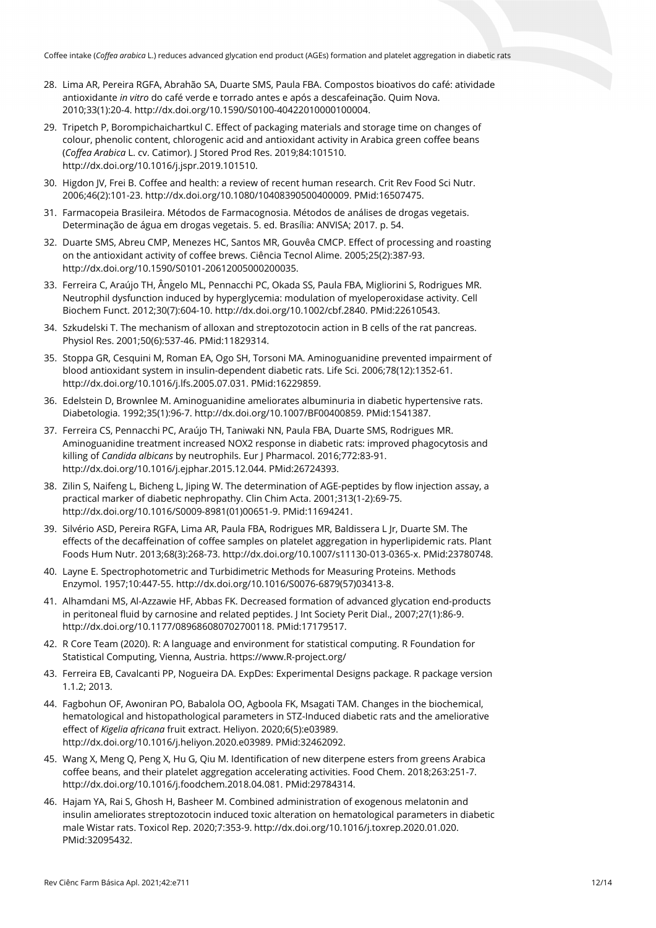- 28. Lima AR, Pereira RGFA, Abrahão SA, Duarte SMS, Paula FBA. Compostos bioativos do café: atividade antioxidante *in vitro* do café verde e torrado antes e após a descafeinação. Quim Nova. 2010;33(1):20-4. [http://dx.doi.org/10.1590/S0100-40422010000100004.](https://doi.org/10.1590/S0100-40422010000100004)
- 29. Tripetch P, Borompichaichartkul C. Effect of packaging materials and storage time on changes of colour, phenolic content, chlorogenic acid and antioxidant activity in Arabica green coffee beans (*Coffea Arabica* L. cv. Catimor). J Stored Prod Res. 2019;84:101510. [http://dx.doi.org/10.1016/j.jspr.2019.101510.](https://doi.org/10.1016/j.jspr.2019.101510)
- 30. Higdon JV, Frei B. Coffee and health: a review of recent human research. Crit Rev Food Sci Nutr. 2006;46(2):101-23. [http://dx.doi.org/10.1080/10408390500400009.](https://doi.org/10.1080/10408390500400009) [PMid:16507475.](https://www.ncbi.nlm.nih.gov/entrez/query.fcgi?cmd=Retrieve&db=PubMed&list_uids=16507475&dopt=Abstract)
- 31. Farmacopeia Brasileira. Métodos de Farmacognosia. Métodos de análises de drogas vegetais. Determinação de água em drogas vegetais. 5. ed. Brasília: ANVISA; 2017. p. 54.
- 32. Duarte SMS, Abreu CMP, Menezes HC, Santos MR, Gouvêa CMCP. Effect of processing and roasting on the antioxidant activity of coffee brews. Ciência Tecnol Alime. 2005;25(2):387-93. [http://dx.doi.org/10.1590/S0101-20612005000200035.](https://doi.org/10.1590/S0101-20612005000200035)
- 33. Ferreira C, Araújo TH, Ângelo ML, Pennacchi PC, Okada SS, Paula FBA, Migliorini S, Rodrigues MR. Neutrophil dysfunction induced by hyperglycemia: modulation of myeloperoxidase activity. Cell Biochem Funct. 2012;30(7):604-10[. http://dx.doi.org/10.1002/cbf.2840.](https://doi.org/10.1002/cbf.2840) [PMid:22610543.](https://www.ncbi.nlm.nih.gov/entrez/query.fcgi?cmd=Retrieve&db=PubMed&list_uids=22610543&dopt=Abstract)
- 34. Szkudelski T. The mechanism of alloxan and streptozotocin action in B cells of the rat pancreas. Physiol Res. 2001;50(6):537-46. [PMid:11829314.](https://www.ncbi.nlm.nih.gov/entrez/query.fcgi?cmd=Retrieve&db=PubMed&list_uids=11829314&dopt=Abstract)
- 35. Stoppa GR, Cesquini M, Roman EA, Ogo SH, Torsoni MA. Aminoguanidine prevented impairment of blood antioxidant system in insulin-dependent diabetic rats. Life Sci. 2006;78(12):1352-61. [http://dx.doi.org/10.1016/j.lfs.2005.07.031.](https://doi.org/10.1016/j.lfs.2005.07.031) [PMid:16229859.](https://www.ncbi.nlm.nih.gov/entrez/query.fcgi?cmd=Retrieve&db=PubMed&list_uids=16229859&dopt=Abstract)
- 36. Edelstein D, Brownlee M. Aminoguanidine ameliorates albuminuria in diabetic hypertensive rats. Diabetologia. 1992;35(1):96-7[. http://dx.doi.org/10.1007/BF00400859.](https://doi.org/10.1007/BF00400859) [PMid:1541387.](https://www.ncbi.nlm.nih.gov/entrez/query.fcgi?cmd=Retrieve&db=PubMed&list_uids=1541387&dopt=Abstract)
- 37. Ferreira CS, Pennacchi PC, Araújo TH, Taniwaki NN, Paula FBA, Duarte SMS, Rodrigues MR. Aminoguanidine treatment increased NOX2 response in diabetic rats: improved phagocytosis and killing of *Candida albicans* by neutrophils. Eur J Pharmacol. 2016;772:83-91. [http://dx.doi.org/10.1016/j.ejphar.2015.12.044.](https://doi.org/10.1016/j.ejphar.2015.12.044) [PMid:26724393.](https://www.ncbi.nlm.nih.gov/entrez/query.fcgi?cmd=Retrieve&db=PubMed&list_uids=26724393&dopt=Abstract)
- 38. Zilin S, Naifeng L, Bicheng L, Jiping W. The determination of AGE-peptides by flow injection assay, a practical marker of diabetic nephropathy. Clin Chim Acta. 2001;313(1-2):69-75. [http://dx.doi.org/10.1016/S0009-8981\(01\)00651-9.](https://doi.org/10.1016/S0009-8981(01)00651-9) [PMid:11694241.](https://www.ncbi.nlm.nih.gov/entrez/query.fcgi?cmd=Retrieve&db=PubMed&list_uids=11694241&dopt=Abstract)
- 39. Silvério ASD, Pereira RGFA, Lima AR, Paula FBA, Rodrigues MR, Baldissera L Jr, Duarte SM. The effects of the decaffeination of coffee samples on platelet aggregation in hyperlipidemic rats. Plant Foods Hum Nutr. 2013;68(3):268-73. [http://dx.doi.org/10.1007/s11130-013-0365-x.](https://doi.org/10.1007/s11130-013-0365-x) [PMid:23780748.](https://www.ncbi.nlm.nih.gov/entrez/query.fcgi?cmd=Retrieve&db=PubMed&list_uids=23780748&dopt=Abstract)
- 40. Layne E. Spectrophotometric and Turbidimetric Methods for Measuring Proteins. Methods Enzymol. 1957;10:447-55. [http://dx.doi.org/10.1016/S0076-6879\(57\)03413-8.](https://doi.org/10.1016/S0076-6879(57)03413-8)
- 41. Alhamdani MS, Al-Azzawie HF, Abbas FK. Decreased formation of advanced glycation end-products in peritoneal fluid by carnosine and related peptides. J Int Society Perit Dial., 2007;27(1):86-9. [http://dx.doi.org/10.1177/089686080702700118.](https://doi.org/10.1177/089686080702700118) [PMid:17179517.](https://www.ncbi.nlm.nih.gov/entrez/query.fcgi?cmd=Retrieve&db=PubMed&list_uids=17179517&dopt=Abstract)
- 42. R Core Team (2020). R: A language and environment for statistical computing. R Foundation for Statistical Computing, Vienna, Austria. https://www.R-project.org/
- 43. Ferreira EB, Cavalcanti PP, Nogueira DA. ExpDes: Experimental Designs package. R package version 1.1.2; 2013.
- 44. Fagbohun OF, Awoniran PO, Babalola OO, Agboola FK, Msagati TAM. Changes in the biochemical, hematological and histopathological parameters in STZ-Induced diabetic rats and the ameliorative effect of *Kigelia africana* fruit extract. Heliyon. 2020;6(5):e03989. [http://dx.doi.org/10.1016/j.heliyon.2020.e03989.](https://doi.org/10.1016/j.heliyon.2020.e03989) [PMid:32462092.](https://www.ncbi.nlm.nih.gov/entrez/query.fcgi?cmd=Retrieve&db=PubMed&list_uids=32462092&dopt=Abstract)
- 45. Wang X, Meng Q, Peng X, Hu G, Qiu M. Identification of new diterpene esters from greens Arabica coffee beans, and their platelet aggregation accelerating activities. Food Chem. 2018;263:251-7. [http://dx.doi.org/10.1016/j.foodchem.2018.04.081.](https://doi.org/10.1016/j.foodchem.2018.04.081) [PMid:29784314.](https://www.ncbi.nlm.nih.gov/entrez/query.fcgi?cmd=Retrieve&db=PubMed&list_uids=29784314&dopt=Abstract)
- 46. Hajam YA, Rai S, Ghosh H, Basheer M. Combined administration of exogenous melatonin and insulin ameliorates streptozotocin induced toxic alteration on hematological parameters in diabetic male Wistar rats. Toxicol Rep. 2020;7:353-9. [http://dx.doi.org/10.1016/j.toxrep.2020.01.020.](https://doi.org/10.1016/j.toxrep.2020.01.020) [PMid:32095432.](https://www.ncbi.nlm.nih.gov/entrez/query.fcgi?cmd=Retrieve&db=PubMed&list_uids=32095432&dopt=Abstract)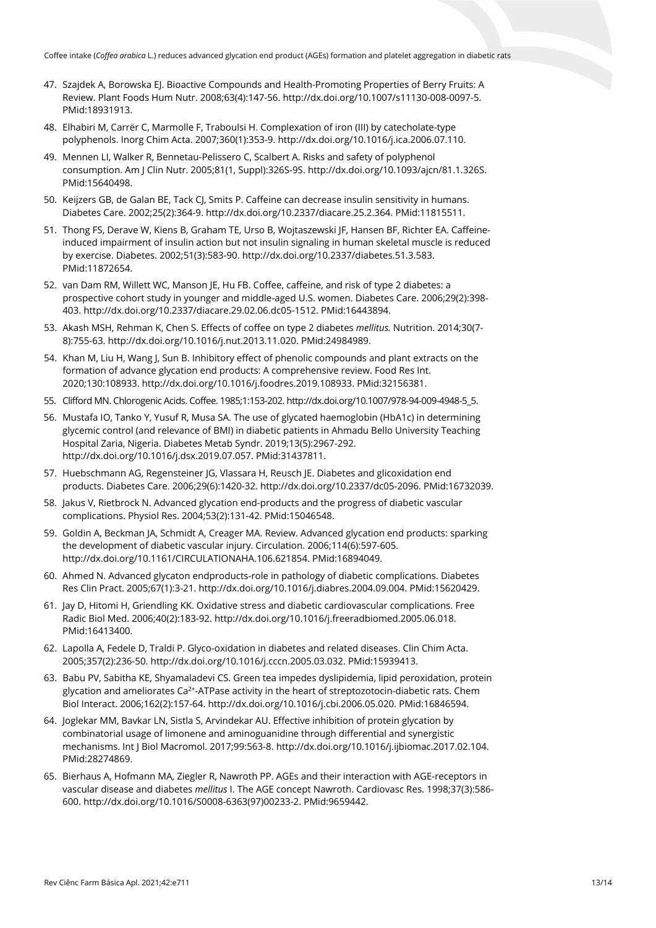- 47. Szajdek A, Borowska EJ. Bioactive Compounds and Health-Promoting Properties of Berry Fruits: A Review. Plant Foods Hum Nutr. 2008;63(4):147-56. [http://dx.doi.org/10.1007/s11130-008-0097-5.](https://doi.org/10.1007/s11130-008-0097-5) [PMid:18931913.](https://www.ncbi.nlm.nih.gov/entrez/query.fcgi?cmd=Retrieve&db=PubMed&list_uids=18931913&dopt=Abstract)
- 48. Elhabiri M, Carrër C, Marmolle F, Traboulsi H. Complexation of iron (III) by catecholate-type polyphenols. Inorg Chim Acta. 2007;360(1):353-9[. http://dx.doi.org/10.1016/j.ica.2006.07.110.](https://doi.org/10.1016/j.ica.2006.07.110)
- 49. Mennen LI, Walker R, Bennetau-Pelissero C, Scalbert A. Risks and safety of polyphenol consumption. Am J Clin Nutr. 2005;81(1, Suppl):326S-9S[. http://dx.doi.org/10.1093/ajcn/81.1.326S.](https://doi.org/10.1093/ajcn/81.1.326S) [PMid:15640498.](https://www.ncbi.nlm.nih.gov/entrez/query.fcgi?cmd=Retrieve&db=PubMed&list_uids=15640498&dopt=Abstract)
- 50. Keijzers GB, de Galan BE, Tack CJ, Smits P. Caffeine can decrease insulin sensitivity in humans. Diabetes Care. 2002;25(2):364-9. [http://dx.doi.org/10.2337/diacare.25.2.364.](https://doi.org/10.2337/diacare.25.2.364) [PMid:11815511.](https://www.ncbi.nlm.nih.gov/entrez/query.fcgi?cmd=Retrieve&db=PubMed&list_uids=11815511&dopt=Abstract)
- 51. Thong FS, Derave W, Kiens B, Graham TE, Urso B, Wojtaszewski JF, Hansen BF, Richter EA. Caffeineinduced impairment of insulin action but not insulin signaling in human skeletal muscle is reduced by exercise. Diabetes. 2002;51(3):583-90. [http://dx.doi.org/10.2337/diabetes.51.3.583](https://doi.org/10.2337/diabetes.51.3.583)[.](https://www.ncbi.nlm.nih.gov/entrez/query.fcgi?cmd=Retrieve&db=PubMed&list_uids=11872654&dopt=Abstract) [PMid:11872654.](https://www.ncbi.nlm.nih.gov/entrez/query.fcgi?cmd=Retrieve&db=PubMed&list_uids=11872654&dopt=Abstract)
- 52. van Dam RM, Willett WC, Manson IE, Hu FB, Coffee, caffeine, and risk of type 2 diabetes; a prospective cohort study in younger and middle-aged U.S. women. Diabetes Care. 2006;29(2):398- 403. [http://dx.doi.org/10.2337/diacare.29.02.06.dc05-1512.](https://doi.org/10.2337/diacare.29.02.06.dc05-1512) [PMid:16443894.](https://www.ncbi.nlm.nih.gov/entrez/query.fcgi?cmd=Retrieve&db=PubMed&list_uids=16443894&dopt=Abstract)
- 53. Akash MSH, Rehman K, Chen S. Effects of coffee on type 2 diabetes *mellitus.* Nutrition. 2014;30(7- 8):755-63. [http://dx.doi.org/10.1016/j.nut.2013.11.020.](https://doi.org/10.1016/j.nut.2013.11.020) [PMid:24984989.](https://www.ncbi.nlm.nih.gov/entrez/query.fcgi?cmd=Retrieve&db=PubMed&list_uids=24984989&dopt=Abstract)
- 54. Khan M, Liu H, Wang J, Sun B. Inhibitory effect of phenolic compounds and plant extracts on the formation of advance glycation end products: A comprehensive review. Food Res Int. 2020;130:108933. [http://dx.doi.org/10.1016/j.foodres.2019.108933.](https://doi.org/10.1016/j.foodres.2019.108933) [PMid:32156381.](https://www.ncbi.nlm.nih.gov/entrez/query.fcgi?cmd=Retrieve&db=PubMed&list_uids=32156381&dopt=Abstract)
- 55. Clifford MN. Chlorogenic Acids. Coffee. 1985;1:153-202[. http://dx.doi.org/10.1007/978-94-009-4948-5\\_5.](https://doi.org/10.1007/978-94-009-4948-5_5)
- 56. Mustafa IO, Tanko Y, Yusuf R, Musa SA. The use of glycated haemoglobin (HbA1c) in determining glycemic control (and relevance of BMI) in diabetic patients in Ahmadu Bello University Teaching Hospital Zaria, Nigeria. Diabetes Metab Syndr. 2019;13(5):2967-292. [http://dx.doi.org/10.1016/j.dsx.2019.07.057.](https://doi.org/10.1016/j.dsx.2019.07.057) [PMid:31437811.](https://www.ncbi.nlm.nih.gov/entrez/query.fcgi?cmd=Retrieve&db=PubMed&list_uids=31437811&dopt=Abstract)
- 57. Huebschmann AG, Regensteiner JG, Vlassara H, Reusch JE. Diabetes and glicoxidation end products. Diabetes Care. 2006;29(6):1420-32[. http://dx.doi.org/10.2337/dc05-2096.](https://doi.org/10.2337/dc05-2096) [PMid:16732039.](https://www.ncbi.nlm.nih.gov/entrez/query.fcgi?cmd=Retrieve&db=PubMed&list_uids=16732039&dopt=Abstract)
- 58. Jakus V, Rietbrock N. Advanced glycation end-products and the progress of diabetic vascular complications. Physiol Res. 2004;53(2):131-42. [PMid:15046548.](https://www.ncbi.nlm.nih.gov/entrez/query.fcgi?cmd=Retrieve&db=PubMed&list_uids=15046548&dopt=Abstract)
- 59. Goldin A, Beckman JA, Schmidt A, Creager MA. Review. Advanced glycation end products: sparking the development of diabetic vascular injury. Circulation. 2006;114(6):597-605. [http://dx.doi.org/10.1161/CIRCULATIONAHA.106.621854.](https://doi.org/10.1161/CIRCULATIONAHA.106.621854) [PMid:16894049.](https://www.ncbi.nlm.nih.gov/entrez/query.fcgi?cmd=Retrieve&db=PubMed&list_uids=16894049&dopt=Abstract)
- 60. Ahmed N. Advanced glycaton endproducts-role in pathology of diabetic complications. Diabetes Res Clin Pract. 2005;67(1):3-21[. http://dx.doi.org/10.1016/j.diabres.2004.09.004.](https://doi.org/10.1016/j.diabres.2004.09.004) [PMid:15620429.](https://www.ncbi.nlm.nih.gov/entrez/query.fcgi?cmd=Retrieve&db=PubMed&list_uids=15620429&dopt=Abstract)
- 61. Jay D, Hitomi H, Griendling KK. Oxidative stress and diabetic cardiovascular complications. Free Radic Biol Med. 2006;40(2):183-92[. http://dx.doi.org/10.1016/j.freeradbiomed.2005.06.018](https://doi.org/10.1016/j.freeradbiomed.2005.06.018)[.](https://www.ncbi.nlm.nih.gov/entrez/query.fcgi?cmd=Retrieve&db=PubMed&list_uids=16413400&dopt=Abstract) [PMid:16413400.](https://www.ncbi.nlm.nih.gov/entrez/query.fcgi?cmd=Retrieve&db=PubMed&list_uids=16413400&dopt=Abstract)
- 62. Lapolla A, Fedele D, Traldi P. Glyco-oxidation in diabetes and related diseases. Clin Chim Acta. 2005;357(2):236-50[. http://dx.doi.org/10.1016/j.cccn.2005.03.032.](https://doi.org/10.1016/j.cccn.2005.03.032) [PMid:15939413.](https://www.ncbi.nlm.nih.gov/entrez/query.fcgi?cmd=Retrieve&db=PubMed&list_uids=15939413&dopt=Abstract)
- 63. Babu PV, Sabitha KE, Shyamaladevi CS. Green tea impedes dyslipidemia, lipid peroxidation, protein glycation and ameliorates Ca<sup>2+</sup>-ATPase activity in the heart of streptozotocin-diabetic rats. Chem Biol Interact. 2006;162(2):157-64. [http://dx.doi.org/10.1016/j.cbi.2006.05.020.](https://doi.org/10.1016/j.cbi.2006.05.020) [PMid:16846594.](https://www.ncbi.nlm.nih.gov/entrez/query.fcgi?cmd=Retrieve&db=PubMed&list_uids=16846594&dopt=Abstract)
- 64. Joglekar MM, Bavkar LN, Sistla S, Arvindekar AU. Effective inhibition of protein glycation by combinatorial usage of limonene and aminoguanidine through differential and synergistic mechanisms. Int J Biol Macromol. 2017;99:563-8[. http://dx.doi.org/10.1016/j.ijbiomac.2017.02.104.](https://doi.org/10.1016/j.ijbiomac.2017.02.104) [PMid:28274869.](https://www.ncbi.nlm.nih.gov/entrez/query.fcgi?cmd=Retrieve&db=PubMed&list_uids=28274869&dopt=Abstract)
- 65. Bierhaus A, Hofmann MA, Ziegler R, Nawroth PP. AGEs and their interaction with AGE-receptors in vascular disease and diabetes *mellitus* I. The AGE concept Nawroth. Cardiovasc Res. 1998;37(3):586- 600. [http://dx.doi.org/10.1016/S0008-6363\(97\)00233-2.](https://doi.org/10.1016/S0008-6363(97)00233-2) [PMid:9659442.](https://www.ncbi.nlm.nih.gov/entrez/query.fcgi?cmd=Retrieve&db=PubMed&list_uids=9659442&dopt=Abstract)